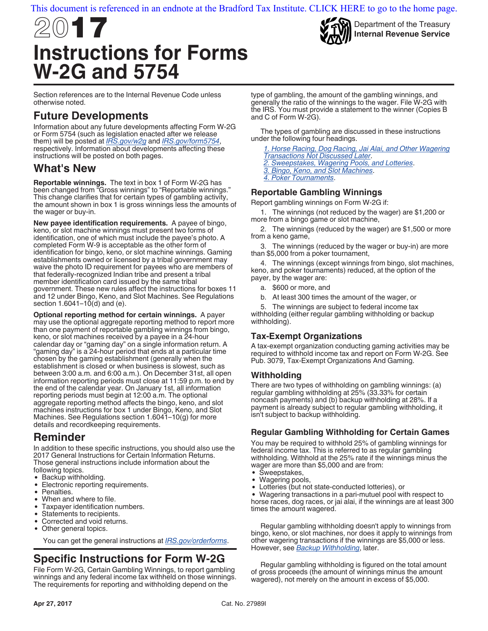## [This document is referenced in an endnote at the Bradford Tax Institute. CLICK HERE to go to the home page.](www.bradfordtaxinstitute.com)



Section references are to the Internal Revenue Code unless otherwise noted.

# **Future Developments**

Information about any future developments affecting Form W-2G or Form 5754 (such as legislation enacted after we release them) will be posted at *[IRS.gov/w2g](https://www.irs.gov/w2g)* and *[IRS.gov/form5754](https://www.irs.gov/form5754)*, respectively. Information about developments affecting these instructions will be posted on both pages.

# **What's New**

**Reportable winnings.** The text in box 1 of Form W-2G has been changed from "Gross winnings" to "Reportable winnings." This change clarifies that for certain types of gambling activity, the amount shown in box 1 is gross winnings less the amounts of the wager or buy-in.

**New payee identification requirements.** A payee of bingo, keno, or slot machine winnings must present two forms of identification, one of which must include the payee's photo. A completed Form W-9 is acceptable as the other form of identification for bingo, keno, or slot machine winnings. Gaming establishments owned or licensed by a tribal government may waive the photo ID requirement for payees who are members of that federally-recognized Indian tribe and present a tribal member identification card issued by the same tribal government. These new rules affect the instructions for boxes 11 and 12 under Bingo, Keno, and Slot Machines. See Regulations section  $1.6041 - 10(d)$  and (e).

**Optional reporting method for certain winnings.** A payer may use the optional aggregate reporting method to report more than one payment of reportable gambling winnings from bingo, keno, or slot machines received by a payee in a 24-hour calendar day or "gaming day" on a single information return. A "gaming day" is a 24-hour period that ends at a particular time chosen by the gaming establishment (generally when the establishment is closed or when business is slowest, such as between 3:00 a.m. and 6:00 a.m.). On December 31st, all open information reporting periods must close at 11:59 p.m. to end by the end of the calendar year. On January 1st, all information reporting periods must begin at 12:00 a.m. The optional aggregate reporting method affects the bingo, keno, and slot machines instructions for box 1 under Bingo, Keno, and Slot Machines. See Regulations section 1.6041–10(g) for more details and recordkeeping requirements.

# **Reminder**

In addition to these specific instructions, you should also use the 2017 General Instructions for Certain Information Returns. Those general instructions include information about the following topics.

- Backup withholding.
- Electronic reporting requirements.
- $\bullet$ Penalties.
- When and where to file.  $\bullet$
- $\bullet$ Taxpayer identification numbers.
- Statements to recipients.
- Corrected and void returns.
- $\bullet$ Other general topics.

You can get the general instructions at *[IRS.gov/orderforms](https://www.irs.gov/orderforms)*.

# **Specific Instructions for Form W-2G**

File Form W-2G, Certain Gambling Winnings, to report gambling winnings and any federal income tax withheld on those winnings. The requirements for reporting and withholding depend on the

type of gambling, the amount of the gambling winnings, and generally the ratio of the winnings to the wager. File W-2G with the IRS. You must provide a statement to the winner (Copies B and C of Form W-2G).

Department of the Treasury **Internal Revenue Service**

The types of gambling are discussed in these instructions under the following four headings.

*[1. Horse Racing, Dog Racing, Jai Alai, and Other Wagering](#page-1-0) [Transactions Not Discussed Later](#page-1-0)*. *[2. Sweepstakes, Wagering Pools, and Lotteries](#page-2-0)*. *[3. Bingo, Keno, and Slot Machines](#page-3-0)*. *[4. Poker Tournaments](#page-3-0)*.

## **Reportable Gambling Winnings**

Report gambling winnings on Form W-2G if:

1. The winnings (not reduced by the wager) are \$1,200 or more from a bingo game or slot machine,

2. The winnings (reduced by the wager) are \$1,500 or more from a keno game,

3. The winnings (reduced by the wager or buy-in) are more than \$5,000 from a poker tournament,

4. The winnings (except winnings from bingo, slot machines, keno, and poker tournaments) reduced, at the option of the payer, by the wager are:

a. \$600 or more, and

b. At least 300 times the amount of the wager, or

5. The winnings are subject to federal income tax withholding (either regular gambling withholding or backup withholding).

## **Tax-Exempt Organizations**

A tax-exempt organization conducting gaming activities may be required to withhold income tax and report on Form W-2G. See Pub. 3079, Tax-Exempt Organizations And Gaming.

## **Withholding**

There are two types of withholding on gambling winnings: (a) regular gambling withholding at 25% (33.33% for certain noncash payments) and (b) backup withholding at 28%. If a payment is already subject to regular gambling withholding, it isn't subject to backup withholding.

## **Regular Gambling Withholding for Certain Games**

You may be required to withhold 25% of gambling winnings for federal income tax. This is referred to as regular gambling withholding. Withhold at the 25% rate if the winnings minus the wager are more than \$5,000 and are from:

- Sweepstakes,  $\bullet$
- $\bullet$ Wagering pools,
- Lotteries (but not state-conducted lotteries), or  $\bullet$

Wagering transactions in a pari-mutuel pool with respect to horse races, dog races, or jai alai, if the winnings are at least 300 times the amount wagered.

Regular gambling withholding doesn't apply to winnings from bingo, keno, or slot machines, nor does it apply to winnings from other wagering transactions if the winnings are \$5,000 or less. However, see *[Backup Withholding](#page-1-0)*, later.

Regular gambling withholding is figured on the total amount of gross proceeds (the amount of winnings minus the amount wagered), not merely on the amount in excess of \$5,000.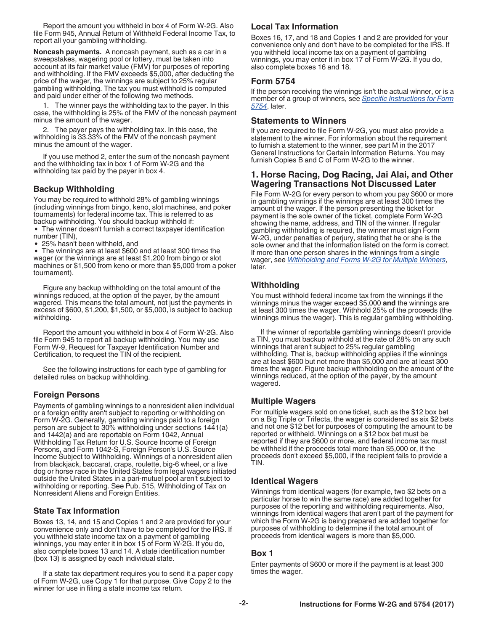<span id="page-1-0"></span>Report the amount you withheld in box 4 of Form W-2G. Also file Form 945, Annual Return of Withheld Federal Income Tax, to report all your gambling withholding.

**Noncash payments.** A noncash payment, such as a car in a sweepstakes, wagering pool or lottery, must be taken into account at its fair market value (FMV) for purposes of reporting and withholding. If the FMV exceeds \$5,000, after deducting the price of the wager, the winnings are subject to 25% regular gambling withholding. The tax you must withhold is computed and paid under either of the following two methods.

1. The winner pays the withholding tax to the payer. In this case, the withholding is 25% of the FMV of the noncash payment minus the amount of the wager.

2. The payer pays the withholding tax. In this case, the withholding is 33.33% of the FMV of the noncash payment minus the amount of the wager.

If you use method 2, enter the sum of the noncash payment and the withholding tax in box 1 of Form W-2G and the withholding tax paid by the payer in box 4.

## **Backup Withholding**

You may be required to withhold 28% of gambling winnings (including winnings from bingo, keno, slot machines, and poker tournaments) for federal income tax. This is referred to as backup withholding. You should backup withhold if:

The winner doesn't furnish a correct taxpayer identification number (TIN),

25% hasn't been withheld, and

The winnings are at least \$600 and at least 300 times the wager (or the winnings are at least \$1,200 from bingo or slot machines or \$1,500 from keno or more than \$5,000 from a poker tournament).

Figure any backup withholding on the total amount of the winnings reduced, at the option of the payer, by the amount wagered. This means the total amount, not just the payments in excess of \$600, \$1,200, \$1,500, or \$5,000, is subject to backup withholding.

Report the amount you withheld in box 4 of Form W-2G. Also file Form 945 to report all backup withholding. You may use Form W-9, Request for Taxpayer Identification Number and Certification, to request the TIN of the recipient.

See the following instructions for each type of gambling for detailed rules on backup withholding.

## **Foreign Persons**

Payments of gambling winnings to a nonresident alien individual or a foreign entity aren't subject to reporting or withholding on Form W-2G. Generally, gambling winnings paid to a foreign person are subject to 30% withholding under sections 1441(a) and 1442(a) and are reportable on Form 1042, Annual Withholding Tax Return for U.S. Source Income of Foreign Persons, and Form 1042-S, Foreign Person's U.S. Source Income Subject to Withholding. Winnings of a nonresident alien from blackjack, baccarat, craps, roulette, big-6 wheel, or a live dog or horse race in the United States from legal wagers initiated outside the United States in a pari-mutuel pool aren't subject to withholding or reporting. See Pub. 515, Withholding of Tax on Nonresident Aliens and Foreign Entities.

## **State Tax Information**

Boxes 13, 14, and 15 and Copies 1 and 2 are provided for your convenience only and don't have to be completed for the IRS. If you withheld state income tax on a payment of gambling winnings, you may enter it in box 15 of Form W-2G. If you do, also complete boxes 13 and 14. A state identification number (box 13) is assigned by each individual state.

If a state tax department requires you to send it a paper copy of Form W-2G, use Copy 1 for that purpose. Give Copy 2 to the winner for use in filing a state income tax return.

## **Local Tax Information**

Boxes 16, 17, and 18 and Copies 1 and 2 are provided for your convenience only and don't have to be completed for the IRS. If you withheld local income tax on a payment of gambling winnings, you may enter it in box 17 of Form W-2G. If you do, also complete boxes 16 and 18.

## **Form 5754**

If the person receiving the winnings isn't the actual winner, or is a member of a group of winners, see *[Specific Instructions for Form](#page-4-0) [5754](#page-4-0)*, later.

## **Statements to Winners**

If you are required to file Form W-2G, you must also provide a statement to the winner. For information about the requirement to furnish a statement to the winner, see part M in the 2017 General Instructions for Certain Information Returns. You may furnish Copies B and C of Form W-2G to the winner.

## **1. Horse Racing, Dog Racing, Jai Alai, and Other Wagering Transactions Not Discussed Later**

File Form W-2G for every person to whom you pay \$600 or more in gambling winnings if the winnings are at least 300 times the amount of the wager. If the person presenting the ticket for payment is the sole owner of the ticket, complete Form W-2G showing the name, address, and TIN of the winner. If regular gambling withholding is required, the winner must sign Form W-2G, under penalties of perjury, stating that he or she is the sole owner and that the information listed on the form is correct. If more than one person shares in the winnings from a single wager, see *[Withholding and Forms W-2G for Multiple Winners](#page-4-0)*, later.

## **Withholding**

You must withhold federal income tax from the winnings if the winnings minus the wager exceed \$5,000 **and** the winnings are at least 300 times the wager. Withhold 25% of the proceeds (the winnings minus the wager). This is regular gambling withholding.

If the winner of reportable gambling winnings doesn't provide a TIN, you must backup withhold at the rate of 28% on any such winnings that aren't subject to 25% regular gambling withholding. That is, backup withholding applies if the winnings are at least \$600 but not more than \$5,000 and are at least 300 times the wager. Figure backup withholding on the amount of the winnings reduced, at the option of the payer, by the amount wagered.

## **Multiple Wagers**

For multiple wagers sold on one ticket, such as the \$12 box bet on a Big Triple or Trifecta, the wager is considered as six \$2 bets and not one \$12 bet for purposes of computing the amount to be reported or withheld. Winnings on a \$12 box bet must be reported if they are \$600 or more, and federal income tax must be withheld if the proceeds total more than \$5,000 or, if the proceeds don't exceed \$5,000, if the recipient fails to provide a TIN.

## **Identical Wagers**

Winnings from identical wagers (for example, two \$2 bets on a particular horse to win the same race) are added together for purposes of the reporting and withholding requirements. Also, winnings from identical wagers that aren't part of the payment for which the Form W-2G is being prepared are added together for purposes of withholding to determine if the total amount of proceeds from identical wagers is more than \$5,000.

#### **Box 1**

Enter payments of \$600 or more if the payment is at least 300 times the wager.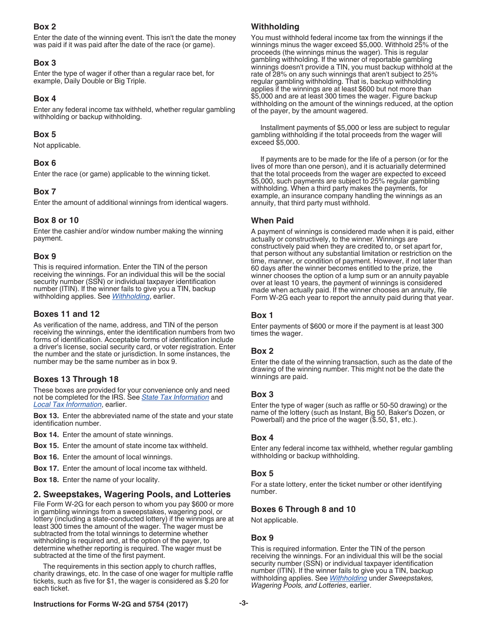## <span id="page-2-0"></span>**Box 2**

Enter the date of the winning event. This isn't the date the money was paid if it was paid after the date of the race (or game).

## **Box 3**

Enter the type of wager if other than a regular race bet, for example, Daily Double or Big Triple.

## **Box 4**

Enter any federal income tax withheld, whether regular gambling withholding or backup withholding.

## **Box 5**

Not applicable.

## **Box 6**

Enter the race (or game) applicable to the winning ticket.

## **Box 7**

Enter the amount of additional winnings from identical wagers.

## **Box 8 or 10**

Enter the cashier and/or window number making the winning payment.

## **Box 9**

This is required information. Enter the TIN of the person receiving the winnings. For an individual this will be the social security number (SSN) or individual taxpayer identification number (ITIN). If the winner fails to give you a TIN, backup withholding applies. See *[Withholding](#page-1-0)*, earlier.

## **Boxes 11 and 12**

As verification of the name, address, and TIN of the person receiving the winnings, enter the identification numbers from two forms of identification. Acceptable forms of identification include a driver's license, social security card, or voter registration. Enter the number and the state or jurisdiction. In some instances, the number may be the same number as in box 9.

## **Boxes 13 Through 18**

These boxes are provided for your convenience only and need not be completed for the IRS. See *[State Tax Information](#page-1-0)* and *[Local Tax Information](#page-1-0)*, earlier.

**Box 13.** Enter the abbreviated name of the state and your state identification number.

- **Box 14.** Enter the amount of state winnings.
- **Box 15.** Enter the amount of state income tax withheld.
- **Box 16.** Enter the amount of local winnings.
- **Box 17.** Enter the amount of local income tax withheld.
- **Box 18.** Enter the name of your locality.

## **2. Sweepstakes, Wagering Pools, and Lotteries**

File Form W-2G for each person to whom you pay \$600 or more in gambling winnings from a sweepstakes, wagering pool, or lottery (including a state-conducted lottery) if the winnings are at least 300 times the amount of the wager. The wager must be subtracted from the total winnings to determine whether withholding is required and, at the option of the payer, to determine whether reporting is required. The wager must be subtracted at the time of the first payment.

The requirements in this section apply to church raffles, charity drawings, etc. In the case of one wager for multiple raffle tickets, such as five for \$1, the wager is considered as \$.20 for each ticket.

## **Withholding**

You must withhold federal income tax from the winnings if the winnings minus the wager exceed \$5,000. Withhold 25% of the proceeds (the winnings minus the wager). This is regular gambling withholding. If the winner of reportable gambling winnings doesn't provide a TIN, you must backup withhold at the rate of 28% on any such winnings that aren't subject to 25% regular gambling withholding. That is, backup withholding applies if the winnings are at least \$600 but not more than \$5,000 and are at least 300 times the wager. Figure backup withholding on the amount of the winnings reduced, at the option of the payer, by the amount wagered.

Installment payments of \$5,000 or less are subject to regular gambling withholding if the total proceeds from the wager will exceed \$5,000.

If payments are to be made for the life of a person (or for the lives of more than one person), and it is actuarially determined that the total proceeds from the wager are expected to exceed \$5,000, such payments are subject to 25% regular gambling withholding. When a third party makes the payments, for example, an insurance company handling the winnings as an annuity, that third party must withhold.

## **When Paid**

A payment of winnings is considered made when it is paid, either actually or constructively, to the winner. Winnings are constructively paid when they are credited to, or set apart for, that person without any substantial limitation or restriction on the time, manner, or condition of payment. However, if not later than 60 days after the winner becomes entitled to the prize, the winner chooses the option of a lump sum or an annuity payable over at least 10 years, the payment of winnings is considered made when actually paid. If the winner chooses an annuity, file Form W-2G each year to report the annuity paid during that year.

#### **Box 1**

Enter payments of \$600 or more if the payment is at least 300 times the wager.

## **Box 2**

Enter the date of the winning transaction, such as the date of the drawing of the winning number. This might not be the date the winnings are paid.

## **Box 3**

Enter the type of wager (such as raffle or 50-50 drawing) or the name of the lottery (such as Instant, Big 50, Baker's Dozen, or Powerball) and the price of the wager (\$.50, \$1, etc.).

#### **Box 4**

Enter any federal income tax withheld, whether regular gambling withholding or backup withholding.

## **Box 5**

For a state lottery, enter the ticket number or other identifying number.

## **Boxes 6 Through 8 and 10**

Not applicable.

## **Box 9**

This is required information. Enter the TIN of the person receiving the winnings. For an individual this will be the social security number (SSN) or individual taxpayer identification number (ITIN). If the winner fails to give you a TIN, backup withholding applies. See *Withholding* under *Sweepstakes, Wagering Pools, and Lotteries*, earlier.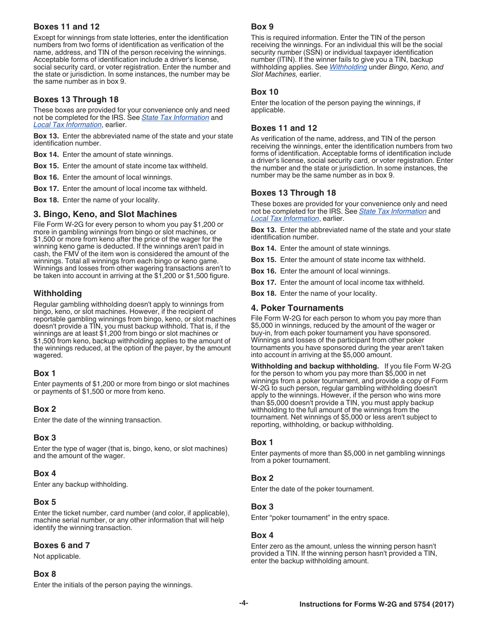## <span id="page-3-0"></span>**Boxes 11 and 12**

Except for winnings from state lotteries, enter the identification numbers from two forms of identification as verification of the name, address, and TIN of the person receiving the winnings. Acceptable forms of identification include a driver's license, social security card, or voter registration. Enter the number and the state or jurisdiction. In some instances, the number may be the same number as in box 9.

## **Boxes 13 Through 18**

These boxes are provided for your convenience only and need not be completed for the IRS. See *[State Tax Information](#page-1-0)* and *[Local Tax Information](#page-1-0)*, earlier.

**Box 13.** Enter the abbreviated name of the state and your state identification number.

**Box 14.** Enter the amount of state winnings.

**Box 15.** Enter the amount of state income tax withheld.

**Box 16.** Enter the amount of local winnings.

**Box 17.** Enter the amount of local income tax withheld.

**Box 18.** Enter the name of your locality.

## **3. Bingo, Keno, and Slot Machines**

File Form W-2G for every person to whom you pay \$1,200 or more in gambling winnings from bingo or slot machines, or \$1,500 or more from keno after the price of the wager for the winning keno game is deducted. If the winnings aren't paid in cash, the FMV of the item won is considered the amount of the winnings. Total all winnings from each bingo or keno game. Winnings and losses from other wagering transactions aren't to be taken into account in arriving at the \$1,200 or \$1,500 figure.

## **Withholding**

Regular gambling withholding doesn't apply to winnings from bingo, keno, or slot machines. However, if the recipient of reportable gambling winnings from bingo, keno, or slot machines doesn't provide a TIN, you must backup withhold. That is, if the winnings are at least \$1,200 from bingo or slot machines or \$1,500 from keno, backup withholding applies to the amount of the winnings reduced, at the option of the payer, by the amount wagered.

## **Box 1**

Enter payments of \$1,200 or more from bingo or slot machines or payments of \$1,500 or more from keno.

## **Box 2**

Enter the date of the winning transaction.

## **Box 3**

Enter the type of wager (that is, bingo, keno, or slot machines) and the amount of the wager.

## **Box 4**

Enter any backup withholding.

## **Box 5**

Enter the ticket number, card number (and color, if applicable), machine serial number, or any other information that will help identify the winning transaction.

## **Boxes 6 and 7**

Not applicable.

## **Box 8**

Enter the initials of the person paying the winnings.

## **Box 9**

This is required information. Enter the TIN of the person receiving the winnings. For an individual this will be the social security number (SSN) or individual taxpayer identification number (ITIN). If the winner fails to give you a TIN, backup withholding applies. See *Withholding* under *Bingo, Keno, and Slot Machines,* earlier.

## **Box 10**

Enter the location of the person paying the winnings, if applicable.

## **Boxes 11 and 12**

As verification of the name, address, and TIN of the person receiving the winnings, enter the identification numbers from two forms of identification. Acceptable forms of identification include a driver's license, social security card, or voter registration. Enter the number and the state or jurisdiction. In some instances, the number may be the same number as in box 9.

## **Boxes 13 Through 18**

These boxes are provided for your convenience only and need not be completed for the IRS. See *[State Tax Information](#page-1-0)* and *[Local Tax Information](#page-1-0)*, earlier.

**Box 13.** Enter the abbreviated name of the state and your state identification number.

**Box 14.** Enter the amount of state winnings.

**Box 15.** Enter the amount of state income tax withheld.

**Box 16.** Enter the amount of local winnings.

**Box 17.** Enter the amount of local income tax withheld.

**Box 18.** Enter the name of your locality.

## **4. Poker Tournaments**

File Form W-2G for each person to whom you pay more than \$5,000 in winnings, reduced by the amount of the wager or buy-in, from each poker tournament you have sponsored. Winnings and losses of the participant from other poker tournaments you have sponsored during the year aren't taken into account in arriving at the \$5,000 amount.

**Withholding and backup withholding.** If you file Form W-2G for the person to whom you pay more than \$5,000 in net winnings from a poker tournament, and provide a copy of Form W-2G to such person, regular gambling withholding doesn't apply to the winnings. However, if the person who wins more than \$5,000 doesn't provide a TIN, you must apply backup withholding to the full amount of the winnings from the tournament. Net winnings of \$5,000 or less aren't subject to reporting, withholding, or backup withholding.

## **Box 1**

Enter payments of more than \$5,000 in net gambling winnings from a poker tournament.

## **Box 2**

Enter the date of the poker tournament.

## **Box 3**

Enter "poker tournament" in the entry space.

## **Box 4**

Enter zero as the amount, unless the winning person hasn't provided a TIN. If the winning person hasn't provided a TIN, enter the backup withholding amount.